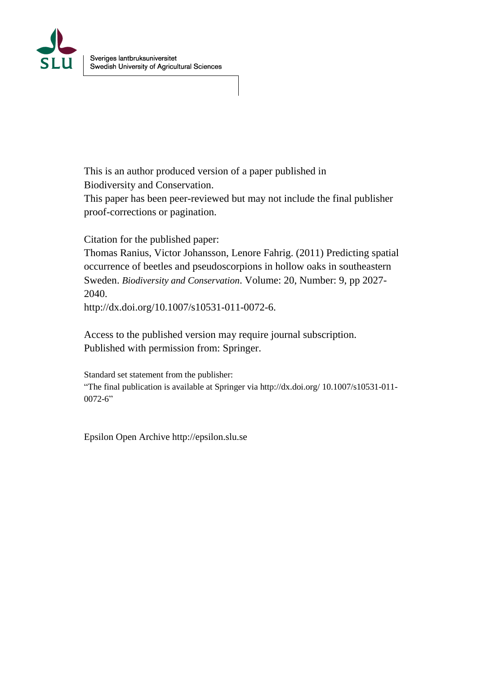

This is an author produced version of a paper published in Biodiversity and Conservation.

This paper has been peer-reviewed but may not include the final publisher proof-corrections or pagination.

Citation for the published paper:

Thomas Ranius, Victor Johansson, Lenore Fahrig. (2011) Predicting spatial occurrence of beetles and pseudoscorpions in hollow oaks in southeastern Sweden. *Biodiversity and Conservation*. Volume: 20, Number: 9, pp 2027- 2040.

http://dx.doi.org/10.1007/s10531-011-0072-6.

Access to the published version may require journal subscription. Published with permission from: Springer.

Standard set statement from the publisher: "The final publication is available at Springer via http://dx.doi.org/ 10.1007/s10531-011-  $0072 - 6$ "

Epsilon Open Archive http://epsilon.slu.se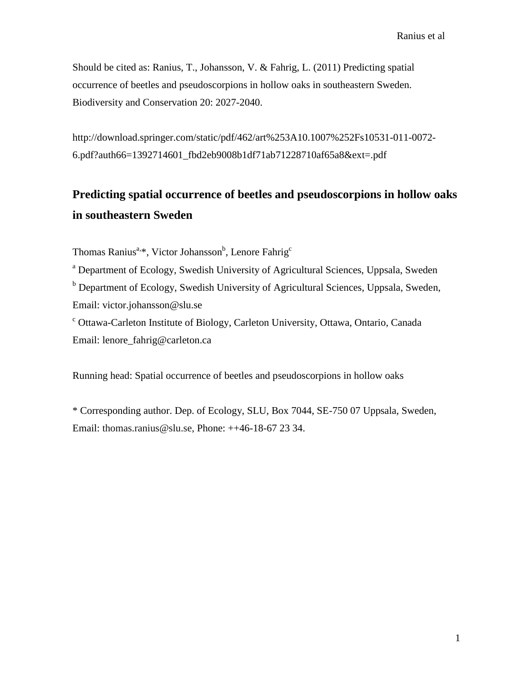Should be cited as: Ranius, T., Johansson, V. & Fahrig, L. (2011) Predicting spatial occurrence of beetles and pseudoscorpions in hollow oaks in southeastern Sweden. Biodiversity and Conservation 20: 2027-2040.

http://download.springer.com/static/pdf/462/art%253A10.1007%252Fs10531-011-0072- 6.pdf?auth66=1392714601\_fbd2eb9008b1df71ab71228710af65a8&ext=.pdf

# **Predicting spatial occurrence of beetles and pseudoscorpions in hollow oaks in southeastern Sweden**

Thomas Ranius<sup>a,\*</sup>, Victor Johansson<sup>b</sup>, Lenore Fahrig<sup>c</sup>

<sup>a</sup> Department of Ecology, Swedish University of Agricultural Sciences, Uppsala, Sweden <sup>b</sup> Department of Ecology, Swedish University of Agricultural Sciences, Uppsala, Sweden, Email: victor.johansson@slu.se

<sup>c</sup> Ottawa-Carleton Institute of Biology, Carleton University, Ottawa, Ontario, Canada Email: lenore\_fahrig@carleton.ca

Running head: Spatial occurrence of beetles and pseudoscorpions in hollow oaks

\* Corresponding author. Dep. of Ecology, SLU, Box 7044, SE-750 07 Uppsala, Sweden, Email: [thomas.ranius@slu.se,](mailto:thomas.ranius@slu.se) Phone: ++46-18-67 23 34.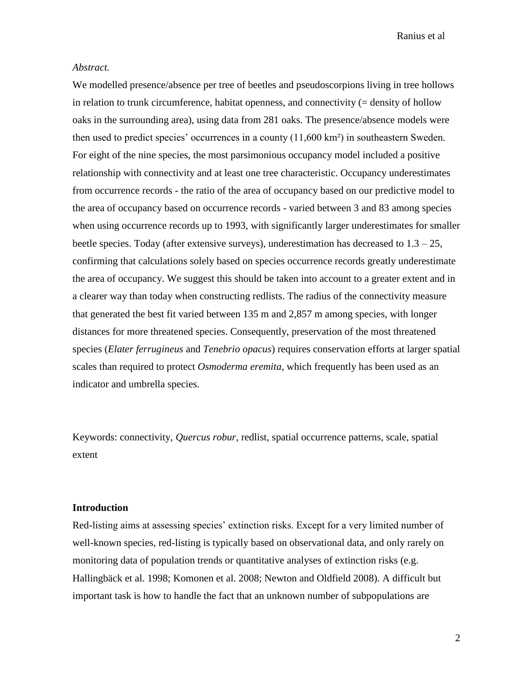## *Abstract.*

We modelled presence/absence per tree of beetles and pseudoscorpions living in tree hollows in relation to trunk circumference, habitat openness, and connectivity  $(=\text{density of hollow})$ oaks in the surrounding area), using data from 281 oaks. The presence/absence models were then used to predict species' occurrences in a county (11,600 km²) in southeastern Sweden. For eight of the nine species, the most parsimonious occupancy model included a positive relationship with connectivity and at least one tree characteristic. Occupancy underestimates from occurrence records - the ratio of the area of occupancy based on our predictive model to the area of occupancy based on occurrence records - varied between 3 and 83 among species when using occurrence records up to 1993, with significantly larger underestimates for smaller beetle species. Today (after extensive surveys), underestimation has decreased to  $1.3 - 25$ , confirming that calculations solely based on species occurrence records greatly underestimate the area of occupancy. We suggest this should be taken into account to a greater extent and in a clearer way than today when constructing redlists. The radius of the connectivity measure that generated the best fit varied between 135 m and 2,857 m among species, with longer distances for more threatened species. Consequently, preservation of the most threatened species (*Elater ferrugineus* and *Tenebrio opacus*) requires conservation efforts at larger spatial scales than required to protect *Osmoderma eremita*, which frequently has been used as an indicator and umbrella species.

Keywords: connectivity, *Quercus robur*, redlist, spatial occurrence patterns, scale, spatial extent

# **Introduction**

Red-listing aims at assessing species' extinction risks. Except for a very limited number of well-known species, red-listing is typically based on observational data, and only rarely on monitoring data of population trends or quantitative analyses of extinction risks (e.g. Hallingbäck et al. 1998; Komonen et al. 2008; Newton and Oldfield 2008). A difficult but important task is how to handle the fact that an unknown number of subpopulations are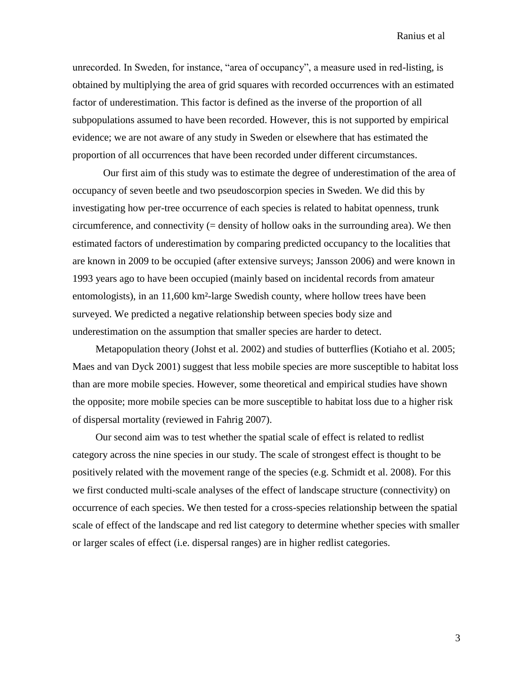unrecorded. In Sweden, for instance, "area of occupancy", a measure used in red-listing, is obtained by multiplying the area of grid squares with recorded occurrences with an estimated factor of underestimation. This factor is defined as the inverse of the proportion of all subpopulations assumed to have been recorded. However, this is not supported by empirical evidence; we are not aware of any study in Sweden or elsewhere that has estimated the proportion of all occurrences that have been recorded under different circumstances.

Our first aim of this study was to estimate the degree of underestimation of the area of occupancy of seven beetle and two pseudoscorpion species in Sweden. We did this by investigating how per-tree occurrence of each species is related to habitat openness, trunk circumference, and connectivity  $(=$  density of hollow oaks in the surrounding area). We then estimated factors of underestimation by comparing predicted occupancy to the localities that are known in 2009 to be occupied (after extensive surveys; Jansson 2006) and were known in 1993 years ago to have been occupied (mainly based on incidental records from amateur entomologists), in an 11,600 km²-large Swedish county, where hollow trees have been surveyed. We predicted a negative relationship between species body size and underestimation on the assumption that smaller species are harder to detect.

Metapopulation theory (Johst et al. 2002) and studies of butterflies (Kotiaho et al. 2005; Maes and van Dyck 2001) suggest that less mobile species are more susceptible to habitat loss than are more mobile species. However, some theoretical and empirical studies have shown the opposite; more mobile species can be more susceptible to habitat loss due to a higher risk of dispersal mortality (reviewed in Fahrig 2007).

Our second aim was to test whether the spatial scale of effect is related to redlist category across the nine species in our study. The scale of strongest effect is thought to be positively related with the movement range of the species (e.g. Schmidt et al. 2008). For this we first conducted multi-scale analyses of the effect of landscape structure (connectivity) on occurrence of each species. We then tested for a cross-species relationship between the spatial scale of effect of the landscape and red list category to determine whether species with smaller or larger scales of effect (i.e. dispersal ranges) are in higher redlist categories.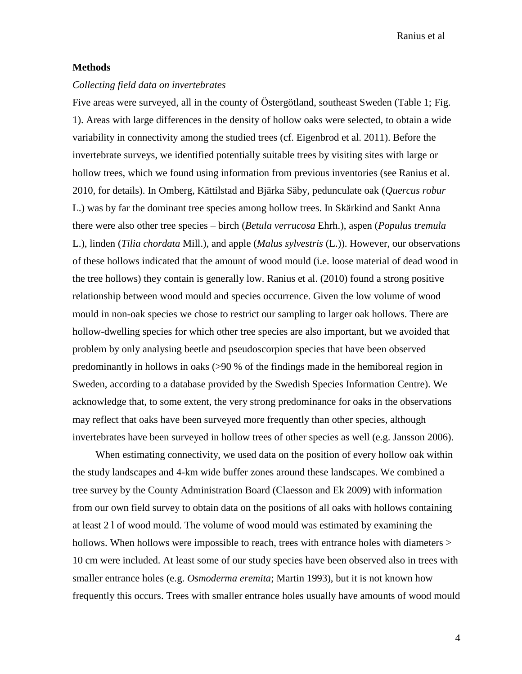## **Methods**

### *Collecting field data on invertebrates*

Five areas were surveyed, all in the county of Östergötland, southeast Sweden (Table 1; Fig. 1). Areas with large differences in the density of hollow oaks were selected, to obtain a wide variability in connectivity among the studied trees (cf. Eigenbrod et al. 2011). Before the invertebrate surveys, we identified potentially suitable trees by visiting sites with large or hollow trees, which we found using information from previous inventories (see Ranius et al. 2010, for details). In Omberg, Kättilstad and Bjärka Säby, pedunculate oak (*Quercus robur* L.) was by far the dominant tree species among hollow trees. In Skärkind and Sankt Anna there were also other tree species – birch (*Betula verrucosa* Ehrh.), aspen (*Populus tremula* L.), linden (*Tilia chordata* Mill.), and apple (*Malus sylvestris* (L.)). However, our observations of these hollows indicated that the amount of wood mould (i.e. loose material of dead wood in the tree hollows) they contain is generally low. Ranius et al. (2010) found a strong positive relationship between wood mould and species occurrence. Given the low volume of wood mould in non-oak species we chose to restrict our sampling to larger oak hollows. There are hollow-dwelling species for which other tree species are also important, but we avoided that problem by only analysing beetle and pseudoscorpion species that have been observed predominantly in hollows in oaks (>90 % of the findings made in the hemiboreal region in Sweden, according to a database provided by the Swedish Species Information Centre). We acknowledge that, to some extent, the very strong predominance for oaks in the observations may reflect that oaks have been surveyed more frequently than other species, although invertebrates have been surveyed in hollow trees of other species as well (e.g. Jansson 2006).

When estimating connectivity, we used data on the position of every hollow oak within the study landscapes and 4-km wide buffer zones around these landscapes. We combined a tree survey by the County Administration Board (Claesson and Ek 2009) with information from our own field survey to obtain data on the positions of all oaks with hollows containing at least 2 l of wood mould. The volume of wood mould was estimated by examining the hollows. When hollows were impossible to reach, trees with entrance holes with diameters > 10 cm were included. At least some of our study species have been observed also in trees with smaller entrance holes (e.g. *Osmoderma eremita*; Martin 1993), but it is not known how frequently this occurs. Trees with smaller entrance holes usually have amounts of wood mould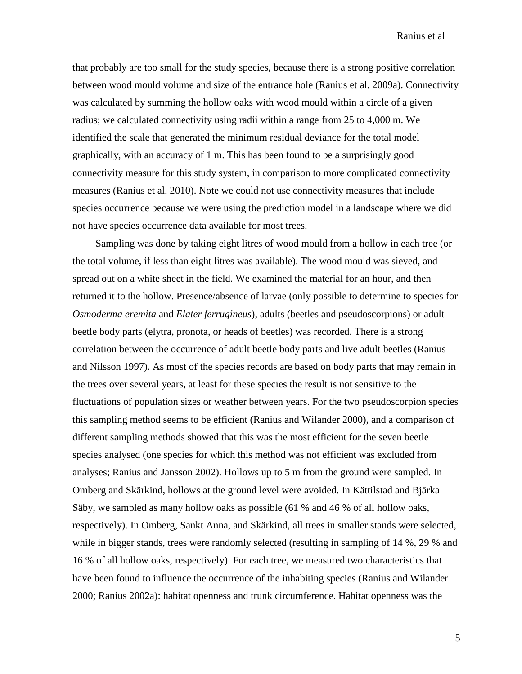that probably are too small for the study species, because there is a strong positive correlation between wood mould volume and size of the entrance hole (Ranius et al. 2009a). Connectivity was calculated by summing the hollow oaks with wood mould within a circle of a given radius; we calculated connectivity using radii within a range from 25 to 4,000 m. We identified the scale that generated the minimum residual deviance for the total model graphically, with an accuracy of 1 m. This has been found to be a surprisingly good connectivity measure for this study system, in comparison to more complicated connectivity measures (Ranius et al. 2010). Note we could not use connectivity measures that include species occurrence because we were using the prediction model in a landscape where we did not have species occurrence data available for most trees.

Sampling was done by taking eight litres of wood mould from a hollow in each tree (or the total volume, if less than eight litres was available). The wood mould was sieved, and spread out on a white sheet in the field. We examined the material for an hour, and then returned it to the hollow. Presence/absence of larvae (only possible to determine to species for *Osmoderma eremita* and *Elater ferrugineus*), adults (beetles and pseudoscorpions) or adult beetle body parts (elytra, pronota, or heads of beetles) was recorded. There is a strong correlation between the occurrence of adult beetle body parts and live adult beetles (Ranius and Nilsson 1997). As most of the species records are based on body parts that may remain in the trees over several years, at least for these species the result is not sensitive to the fluctuations of population sizes or weather between years. For the two pseudoscorpion species this sampling method seems to be efficient (Ranius and Wilander 2000), and a comparison of different sampling methods showed that this was the most efficient for the seven beetle species analysed (one species for which this method was not efficient was excluded from analyses; Ranius and Jansson 2002). Hollows up to 5 m from the ground were sampled. In Omberg and Skärkind, hollows at the ground level were avoided. In Kättilstad and Bjärka Säby, we sampled as many hollow oaks as possible (61 % and 46 % of all hollow oaks, respectively). In Omberg, Sankt Anna, and Skärkind, all trees in smaller stands were selected, while in bigger stands, trees were randomly selected (resulting in sampling of 14 %, 29 % and 16 % of all hollow oaks, respectively). For each tree, we measured two characteristics that have been found to influence the occurrence of the inhabiting species (Ranius and Wilander 2000; Ranius 2002a): habitat openness and trunk circumference. Habitat openness was the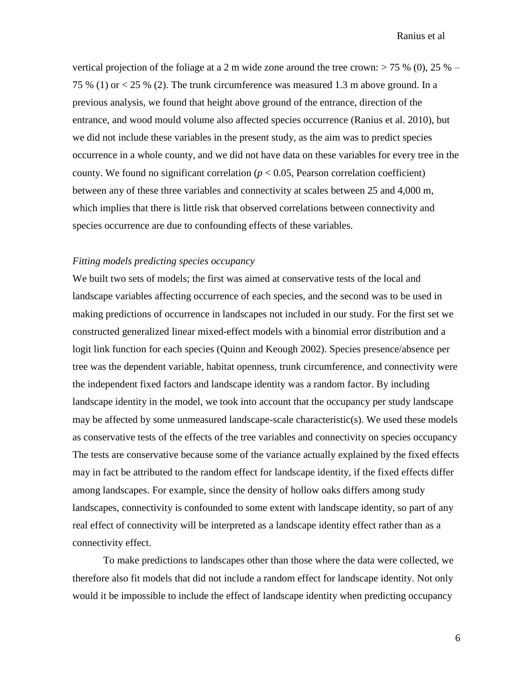vertical projection of the foliage at a 2 m wide zone around the tree crown:  $> 75\%$  (0), 25 % – 75 % (1) or < 25 % (2). The trunk circumference was measured 1.3 m above ground. In a previous analysis, we found that height above ground of the entrance, direction of the entrance, and wood mould volume also affected species occurrence (Ranius et al. 2010), but we did not include these variables in the present study, as the aim was to predict species occurrence in a whole county, and we did not have data on these variables for every tree in the county. We found no significant correlation  $(p < 0.05$ , Pearson correlation coefficient) between any of these three variables and connectivity at scales between 25 and 4,000 m, which implies that there is little risk that observed correlations between connectivity and species occurrence are due to confounding effects of these variables.

## *Fitting models predicting species occupancy*

We built two sets of models; the first was aimed at conservative tests of the local and landscape variables affecting occurrence of each species, and the second was to be used in making predictions of occurrence in landscapes not included in our study. For the first set we constructed generalized linear mixed-effect models with a binomial error distribution and a logit link function for each species (Quinn and Keough 2002). Species presence/absence per tree was the dependent variable, habitat openness, trunk circumference, and connectivity were the independent fixed factors and landscape identity was a random factor. By including landscape identity in the model, we took into account that the occupancy per study landscape may be affected by some unmeasured landscape-scale characteristic(s). We used these models as conservative tests of the effects of the tree variables and connectivity on species occupancy The tests are conservative because some of the variance actually explained by the fixed effects may in fact be attributed to the random effect for landscape identity, if the fixed effects differ among landscapes. For example, since the density of hollow oaks differs among study landscapes, connectivity is confounded to some extent with landscape identity, so part of any real effect of connectivity will be interpreted as a landscape identity effect rather than as a connectivity effect.

To make predictions to landscapes other than those where the data were collected, we therefore also fit models that did not include a random effect for landscape identity. Not only would it be impossible to include the effect of landscape identity when predicting occupancy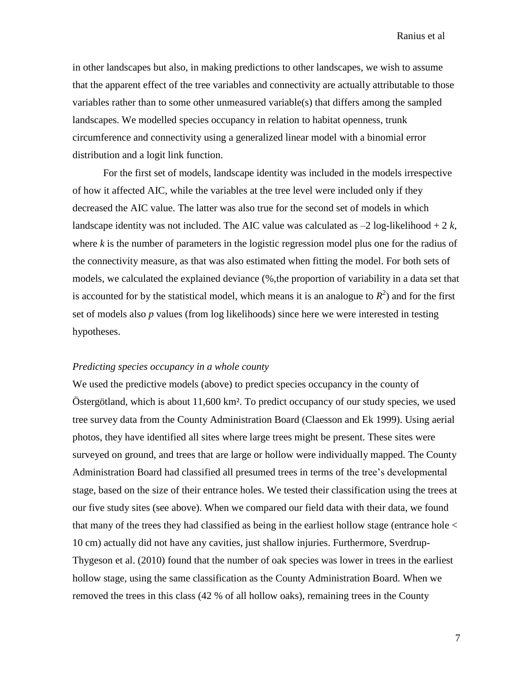in other landscapes but also, in making predictions to other landscapes, we wish to assume that the apparent effect of the tree variables and connectivity are actually attributable to those variables rather than to some other unmeasured variable(s) that differs among the sampled landscapes. We modelled species occupancy in relation to habitat openness, trunk circumference and connectivity using a generalized linear model with a binomial error distribution and a logit link function.

For the first set of models, landscape identity was included in the models irrespective of how it affected AIC, while the variables at the tree level were included only if they decreased the AIC value. The latter was also true for the second set of models in which landscape identity was not included. The AIC value was calculated as  $-2 \log-1$  ikelihood  $+ 2k$ , where *k* is the number of parameters in the logistic regression model plus one for the radius of the connectivity measure, as that was also estimated when fitting the model. For both sets of models, we calculated the explained deviance (%,the proportion of variability in a data set that is accounted for by the statistical model, which means it is an analogue to  $R^2$ ) and for the first set of models also *p* values (from log likelihoods) since here we were interested in testing hypotheses.

### *Predicting species occupancy in a whole county*

We used the predictive models (above) to predict species occupancy in the county of Östergötland, which is about 11,600 km². To predict occupancy of our study species, we used tree survey data from the County Administration Board (Claesson and Ek 1999). Using aerial photos, they have identified all sites where large trees might be present. These sites were surveyed on ground, and trees that are large or hollow were individually mapped. The County Administration Board had classified all presumed trees in terms of the tree's developmental stage, based on the size of their entrance holes. We tested their classification using the trees at our five study sites (see above). When we compared our field data with their data, we found that many of the trees they had classified as being in the earliest hollow stage (entrance hole < 10 cm) actually did not have any cavities, just shallow injuries. Furthermore, Sverdrup-Thygeson et al. (2010) found that the number of oak species was lower in trees in the earliest hollow stage, using the same classification as the County Administration Board. When we removed the trees in this class (42 % of all hollow oaks), remaining trees in the County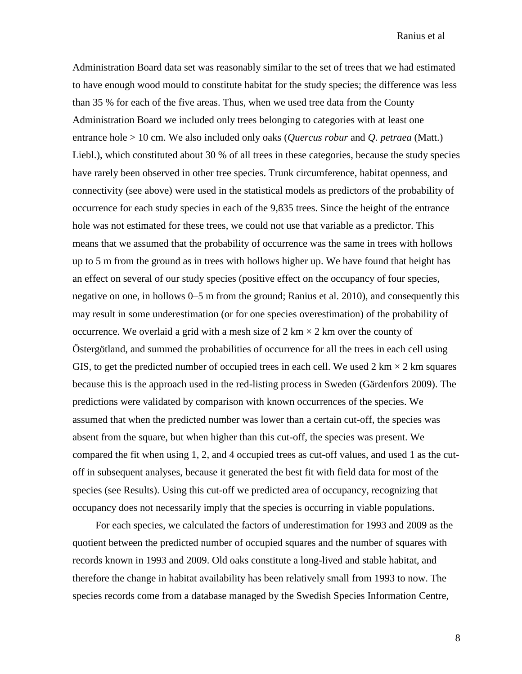Administration Board data set was reasonably similar to the set of trees that we had estimated to have enough wood mould to constitute habitat for the study species; the difference was less than 35 % for each of the five areas. Thus, when we used tree data from the County Administration Board we included only trees belonging to categories with at least one entrance hole > 10 cm. We also included only oaks (*Quercus robur* and *Q. petraea* (Matt.) Liebl.), which constituted about 30 % of all trees in these categories, because the study species have rarely been observed in other tree species. Trunk circumference, habitat openness, and connectivity (see above) were used in the statistical models as predictors of the probability of occurrence for each study species in each of the 9,835 trees. Since the height of the entrance hole was not estimated for these trees, we could not use that variable as a predictor. This means that we assumed that the probability of occurrence was the same in trees with hollows up to 5 m from the ground as in trees with hollows higher up. We have found that height has an effect on several of our study species (positive effect on the occupancy of four species, negative on one, in hollows 0–5 m from the ground; Ranius et al. 2010), and consequently this may result in some underestimation (or for one species overestimation) of the probability of occurrence. We overlaid a grid with a mesh size of  $2 \text{ km} \times 2 \text{ km}$  over the county of Östergötland, and summed the probabilities of occurrence for all the trees in each cell using GIS, to get the predicted number of occupied trees in each cell. We used 2 km  $\times$  2 km squares because this is the approach used in the red-listing process in Sweden (Gärdenfors 2009). The predictions were validated by comparison with known occurrences of the species. We assumed that when the predicted number was lower than a certain cut-off, the species was absent from the square, but when higher than this cut-off, the species was present. We compared the fit when using 1, 2, and 4 occupied trees as cut-off values, and used 1 as the cutoff in subsequent analyses, because it generated the best fit with field data for most of the species (see Results). Using this cut-off we predicted area of occupancy, recognizing that occupancy does not necessarily imply that the species is occurring in viable populations.

For each species, we calculated the factors of underestimation for 1993 and 2009 as the quotient between the predicted number of occupied squares and the number of squares with records known in 1993 and 2009. Old oaks constitute a long-lived and stable habitat, and therefore the change in habitat availability has been relatively small from 1993 to now. The species records come from a database managed by the Swedish Species Information Centre,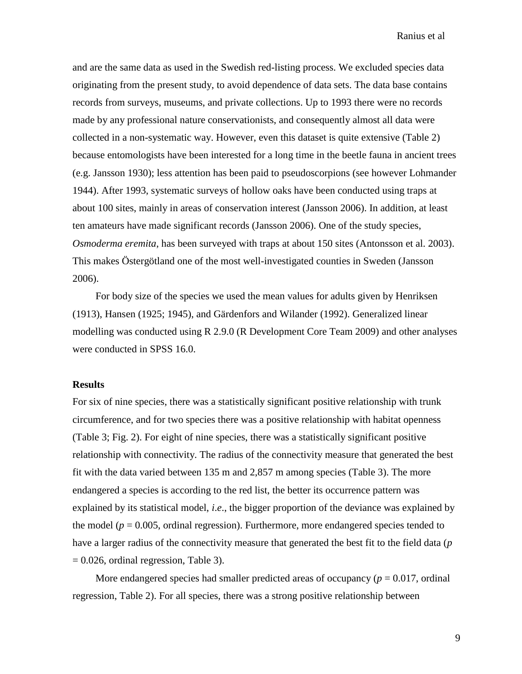and are the same data as used in the Swedish red-listing process. We excluded species data originating from the present study, to avoid dependence of data sets. The data base contains records from surveys, museums, and private collections. Up to 1993 there were no records made by any professional nature conservationists, and consequently almost all data were collected in a non-systematic way. However, even this dataset is quite extensive (Table 2) because entomologists have been interested for a long time in the beetle fauna in ancient trees (e.g. Jansson 1930); less attention has been paid to pseudoscorpions (see however Lohmander 1944). After 1993, systematic surveys of hollow oaks have been conducted using traps at about 100 sites, mainly in areas of conservation interest (Jansson 2006). In addition, at least ten amateurs have made significant records (Jansson 2006). One of the study species, *Osmoderma eremita*, has been surveyed with traps at about 150 sites (Antonsson et al. 2003). This makes Östergötland one of the most well-investigated counties in Sweden (Jansson 2006).

For body size of the species we used the mean values for adults given by Henriksen (1913), Hansen (1925; 1945), and Gärdenfors and Wilander (1992). Generalized linear modelling was conducted using R 2.9.0 (R Development Core Team 2009) and other analyses were conducted in SPSS 16.0.

# **Results**

For six of nine species, there was a statistically significant positive relationship with trunk circumference, and for two species there was a positive relationship with habitat openness (Table 3; Fig. 2). For eight of nine species, there was a statistically significant positive relationship with connectivity. The radius of the connectivity measure that generated the best fit with the data varied between 135 m and 2,857 m among species (Table 3). The more endangered a species is according to the red list, the better its occurrence pattern was explained by its statistical model, *i*.*e*., the bigger proportion of the deviance was explained by the model ( $p = 0.005$ , ordinal regression). Furthermore, more endangered species tended to have a larger radius of the connectivity measure that generated the best fit to the field data (*p*  $= 0.026$ , ordinal regression, Table 3).

More endangered species had smaller predicted areas of occupancy ( $p = 0.017$ , ordinal regression, Table 2). For all species, there was a strong positive relationship between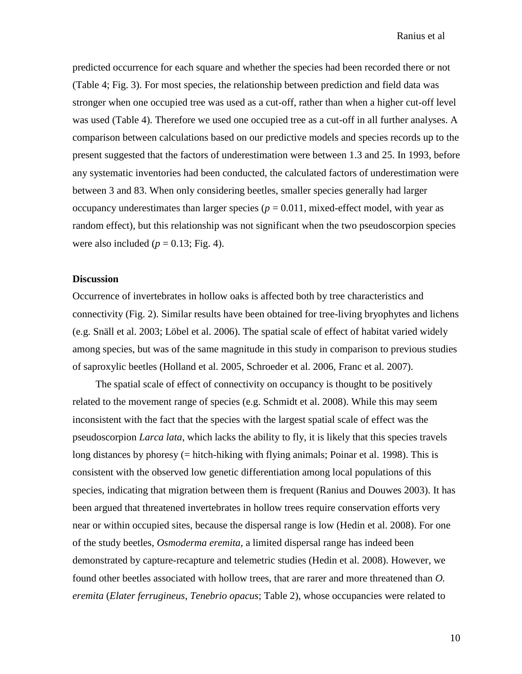predicted occurrence for each square and whether the species had been recorded there or not (Table 4; Fig. 3). For most species, the relationship between prediction and field data was stronger when one occupied tree was used as a cut-off, rather than when a higher cut-off level was used (Table 4). Therefore we used one occupied tree as a cut-off in all further analyses. A comparison between calculations based on our predictive models and species records up to the present suggested that the factors of underestimation were between 1.3 and 25. In 1993, before any systematic inventories had been conducted, the calculated factors of underestimation were between 3 and 83. When only considering beetles, smaller species generally had larger occupancy underestimates than larger species ( $p = 0.011$ , mixed-effect model, with year as random effect), but this relationship was not significant when the two pseudoscorpion species were also included  $(p = 0.13; Fig. 4)$ .

#### **Discussion**

Occurrence of invertebrates in hollow oaks is affected both by tree characteristics and connectivity (Fig. 2). Similar results have been obtained for tree-living bryophytes and lichens (e.g. Snäll et al. 2003; Löbel et al. 2006). The spatial scale of effect of habitat varied widely among species, but was of the same magnitude in this study in comparison to previous studies of saproxylic beetles (Holland et al. 2005, Schroeder et al. 2006, Franc et al. 2007).

The spatial scale of effect of connectivity on occupancy is thought to be positively related to the movement range of species (e.g. Schmidt et al. 2008). While this may seem inconsistent with the fact that the species with the largest spatial scale of effect was the pseudoscorpion *Larca lata*, which lacks the ability to fly, it is likely that this species travels long distances by phoresy (= hitch-hiking with flying animals; Poinar et al. 1998). This is consistent with the observed low genetic differentiation among local populations of this species, indicating that migration between them is frequent (Ranius and Douwes 2003). It has been argued that threatened invertebrates in hollow trees require conservation efforts very near or within occupied sites, because the dispersal range is low (Hedin et al. 2008). For one of the study beetles, *Osmoderma eremita*, a limited dispersal range has indeed been demonstrated by capture-recapture and telemetric studies (Hedin et al. 2008). However, we found other beetles associated with hollow trees, that are rarer and more threatened than *O. eremita* (*Elater ferrugineus*, *Tenebrio opacus*; Table 2), whose occupancies were related to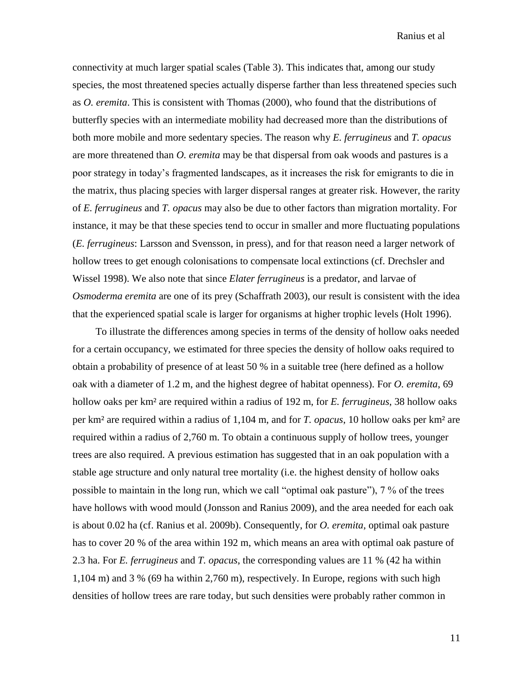connectivity at much larger spatial scales (Table 3). This indicates that, among our study species, the most threatened species actually disperse farther than less threatened species such as *O. eremita*. This is consistent with Thomas (2000), who found that the distributions of butterfly species with an intermediate mobility had decreased more than the distributions of both more mobile and more sedentary species. The reason why *E. ferrugineus* and *T. opacus* are more threatened than *O. eremita* may be that dispersal from oak woods and pastures is a poor strategy in today's fragmented landscapes, as it increases the risk for emigrants to die in the matrix, thus placing species with larger dispersal ranges at greater risk. However, the rarity of *E. ferrugineus* and *T. opacus* may also be due to other factors than migration mortality. For instance, it may be that these species tend to occur in smaller and more fluctuating populations (*E. ferrugineus*: Larsson and Svensson, in press), and for that reason need a larger network of hollow trees to get enough colonisations to compensate local extinctions (cf. Drechsler and Wissel 1998). We also note that since *Elater ferrugineus* is a predator, and larvae of *Osmoderma eremita* are one of its prey (Schaffrath 2003), our result is consistent with the idea that the experienced spatial scale is larger for organisms at higher trophic levels (Holt 1996).

To illustrate the differences among species in terms of the density of hollow oaks needed for a certain occupancy, we estimated for three species the density of hollow oaks required to obtain a probability of presence of at least 50 % in a suitable tree (here defined as a hollow oak with a diameter of 1.2 m, and the highest degree of habitat openness). For *O. eremita*, 69 hollow oaks per km² are required within a radius of 192 m, for *E. ferrugineus*, 38 hollow oaks per km² are required within a radius of 1,104 m, and for *T. opacus*, 10 hollow oaks per km² are required within a radius of 2,760 m. To obtain a continuous supply of hollow trees, younger trees are also required. A previous estimation has suggested that in an oak population with a stable age structure and only natural tree mortality (i.e. the highest density of hollow oaks possible to maintain in the long run, which we call "optimal oak pasture"), 7 % of the trees have hollows with wood mould (Jonsson and Ranius 2009), and the area needed for each oak is about 0.02 ha (cf. Ranius et al. 2009b). Consequently, for *O. eremita*, optimal oak pasture has to cover 20 % of the area within 192 m, which means an area with optimal oak pasture of 2.3 ha. For *E. ferrugineus* and *T. opacus*, the corresponding values are 11 % (42 ha within 1,104 m) and 3 % (69 ha within 2,760 m), respectively. In Europe, regions with such high densities of hollow trees are rare today, but such densities were probably rather common in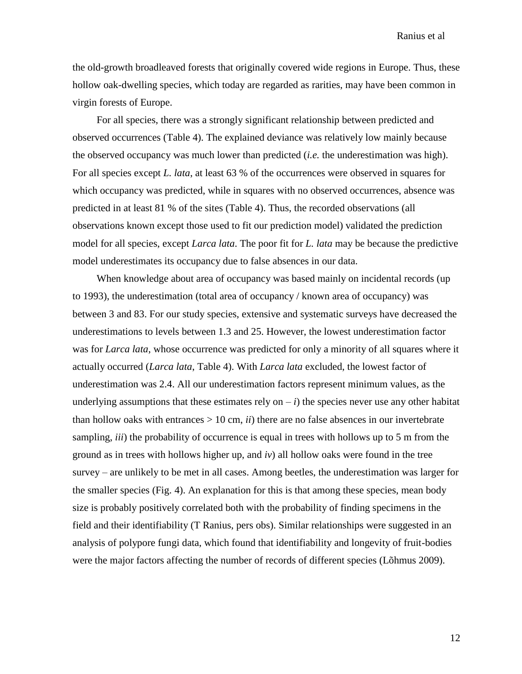the old-growth broadleaved forests that originally covered wide regions in Europe. Thus, these hollow oak-dwelling species, which today are regarded as rarities, may have been common in virgin forests of Europe.

For all species, there was a strongly significant relationship between predicted and observed occurrences (Table 4). The explained deviance was relatively low mainly because the observed occupancy was much lower than predicted (*i.e.* the underestimation was high). For all species except *L. lata*, at least 63 % of the occurrences were observed in squares for which occupancy was predicted, while in squares with no observed occurrences, absence was predicted in at least 81 % of the sites (Table 4). Thus, the recorded observations (all observations known except those used to fit our prediction model) validated the prediction model for all species, except *Larca lata*. The poor fit for *L. lata* may be because the predictive model underestimates its occupancy due to false absences in our data.

When knowledge about area of occupancy was based mainly on incidental records (up to 1993), the underestimation (total area of occupancy / known area of occupancy) was between 3 and 83. For our study species, extensive and systematic surveys have decreased the underestimations to levels between 1.3 and 25. However, the lowest underestimation factor was for *Larca lata*, whose occurrence was predicted for only a minority of all squares where it actually occurred (*Larca lata*, Table 4). With *Larca lata* excluded, the lowest factor of underestimation was 2.4. All our underestimation factors represent minimum values, as the underlying assumptions that these estimates rely on  $-i$ ) the species never use any other habitat than hollow oaks with entrances  $> 10$  cm, *ii*) there are no false absences in our invertebrate sampling, *iii*) the probability of occurrence is equal in trees with hollows up to 5 m from the ground as in trees with hollows higher up, and *iv*) all hollow oaks were found in the tree survey – are unlikely to be met in all cases. Among beetles, the underestimation was larger for the smaller species (Fig. 4). An explanation for this is that among these species, mean body size is probably positively correlated both with the probability of finding specimens in the field and their identifiability (T Ranius, pers obs). Similar relationships were suggested in an analysis of polypore fungi data, which found that identifiability and longevity of fruit-bodies were the major factors affecting the number of records of different species (Lõhmus 2009).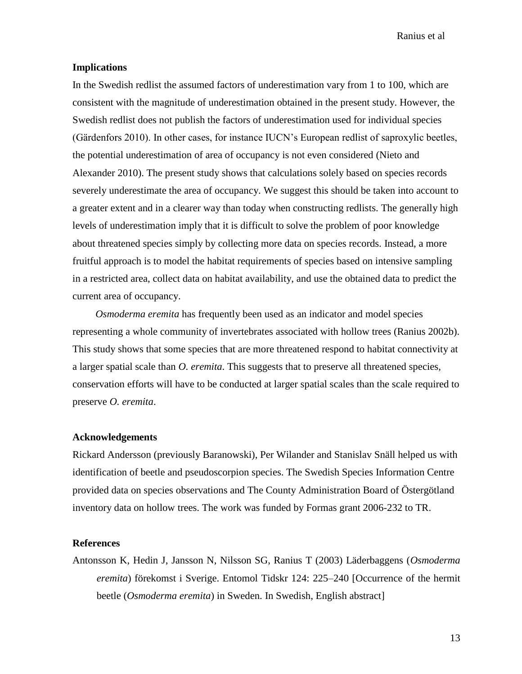### **Implications**

In the Swedish redlist the assumed factors of underestimation vary from 1 to 100, which are consistent with the magnitude of underestimation obtained in the present study. However, the Swedish redlist does not publish the factors of underestimation used for individual species (Gärdenfors 2010). In other cases, for instance IUCN's European redlist of saproxylic beetles, the potential underestimation of area of occupancy is not even considered (Nieto and Alexander 2010). The present study shows that calculations solely based on species records severely underestimate the area of occupancy. We suggest this should be taken into account to a greater extent and in a clearer way than today when constructing redlists. The generally high levels of underestimation imply that it is difficult to solve the problem of poor knowledge about threatened species simply by collecting more data on species records. Instead, a more fruitful approach is to model the habitat requirements of species based on intensive sampling in a restricted area, collect data on habitat availability, and use the obtained data to predict the current area of occupancy.

*Osmoderma eremita* has frequently been used as an indicator and model species representing a whole community of invertebrates associated with hollow trees (Ranius 2002b). This study shows that some species that are more threatened respond to habitat connectivity at a larger spatial scale than *O. eremita*. This suggests that to preserve all threatened species, conservation efforts will have to be conducted at larger spatial scales than the scale required to preserve *O. eremita*.

# **Acknowledgements**

Rickard Andersson (previously Baranowski), Per Wilander and Stanislav Snäll helped us with identification of beetle and pseudoscorpion species. The Swedish Species Information Centre provided data on species observations and The County Administration Board of Östergötland inventory data on hollow trees. The work was funded by Formas grant 2006-232 to TR.

# **References**

Antonsson K, Hedin J, Jansson N, Nilsson SG, Ranius T (2003) Läderbaggens (*Osmoderma eremita*) förekomst i Sverige. Entomol Tidskr 124: 225–240 [Occurrence of the hermit beetle (*Osmoderma eremita*) in Sweden. In Swedish, English abstract]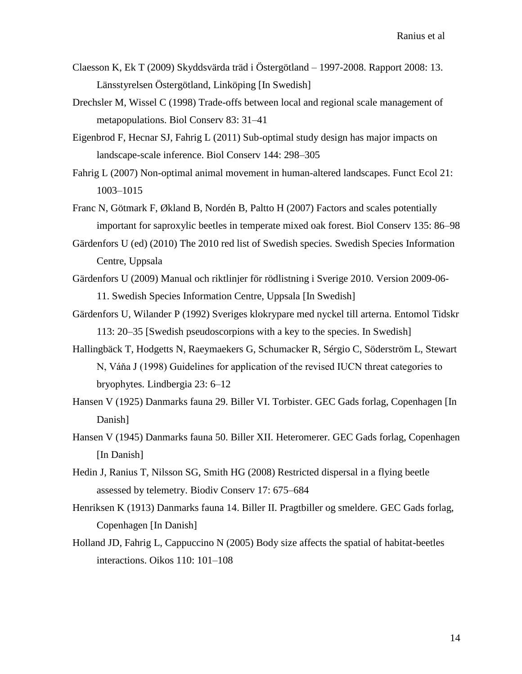- Claesson K, Ek T (2009) Skyddsvärda träd i Östergötland 1997-2008. Rapport 2008: 13. Länsstyrelsen Östergötland, Linköping [In Swedish]
- Drechsler M, Wissel C (1998) Trade-offs between local and regional scale management of metapopulations. Biol Conserv 83: 31–41
- Eigenbrod F, Hecnar SJ, Fahrig L (2011) Sub-optimal study design has major impacts on landscape-scale inference. Biol Conserv 144: 298–305
- Fahrig L (2007) Non-optimal animal movement in human-altered landscapes. Funct Ecol 21: 1003–1015
- Franc N, Götmark F, Økland B, Nordén B, Paltto H (2007) Factors and scales potentially important for saproxylic beetles in temperate mixed oak forest. Biol Conserv 135: 86–98
- Gärdenfors U (ed) (2010) The 2010 red list of Swedish species. Swedish Species Information Centre, Uppsala
- Gärdenfors U (2009) Manual och riktlinjer för rödlistning i Sverige 2010. Version 2009-06- 11. Swedish Species Information Centre, Uppsala [In Swedish]
- Gärdenfors U, Wilander P (1992) Sveriges klokrypare med nyckel till arterna. Entomol Tidskr 113: 20–35 [Swedish pseudoscorpions with a key to the species. In Swedish]
- Hallingbäck T, Hodgetts N, Raeymaekers G, Schumacker R, Sérgio C, Söderström L, Stewart N, Váňa J (1998) Guidelines for application of the revised IUCN threat categories to bryophytes. Lindbergia 23: 6–12
- Hansen V (1925) Danmarks fauna 29. Biller VI. Torbister. GEC Gads forlag, Copenhagen [In Danish]
- Hansen V (1945) Danmarks fauna 50. Biller XII. Heteromerer. GEC Gads forlag, Copenhagen [In Danish]
- Hedin J, Ranius T, Nilsson SG, Smith HG (2008) Restricted dispersal in a flying beetle assessed by telemetry. Biodiv Conserv 17: 675–684
- Henriksen K (1913) Danmarks fauna 14. Biller II. Pragtbiller og smeldere. GEC Gads forlag, Copenhagen [In Danish]
- Holland JD, Fahrig L, Cappuccino N (2005) Body size affects the spatial of habitat-beetles interactions. Oikos 110: 101–108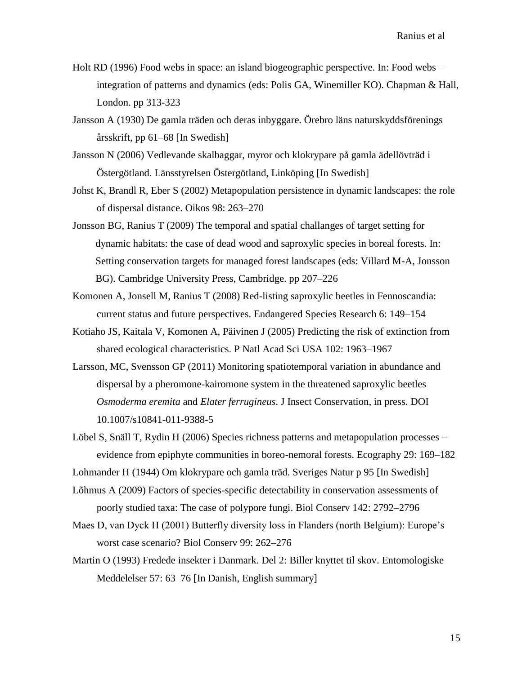- Holt RD (1996) Food webs in space: an island biogeographic perspective. In: Food webs integration of patterns and dynamics (eds: Polis GA, Winemiller KO). Chapman & Hall, London. pp 313-323
- Jansson A (1930) De gamla träden och deras inbyggare. Örebro läns naturskyddsförenings årsskrift, pp 61–68 [In Swedish]
- Jansson N (2006) Vedlevande skalbaggar, myror och klokrypare på gamla ädellövträd i Östergötland. Länsstyrelsen Östergötland, Linköping [In Swedish]
- Johst K, Brandl R, Eber S (2002) Metapopulation persistence in dynamic landscapes: the role of dispersal distance. Oikos 98: 263–270
- Jonsson BG, Ranius T (2009) The temporal and spatial challanges of target setting for dynamic habitats: the case of dead wood and saproxylic species in boreal forests. In: Setting conservation targets for managed forest landscapes (eds: Villard M-A, Jonsson BG). Cambridge University Press, Cambridge. pp 207–226
- Komonen A, Jonsell M, Ranius T (2008) Red-listing saproxylic beetles in Fennoscandia: current status and future perspectives. Endangered Species Research 6: 149–154
- Kotiaho JS, Kaitala V, Komonen A, Päivinen J (2005) Predicting the risk of extinction from shared ecological characteristics. P Natl Acad Sci USA 102: 1963–1967
- Larsson, MC, Svensson GP (2011) Monitoring spatiotemporal variation in abundance and dispersal by a pheromone-kairomone system in the threatened saproxylic beetles *Osmoderma eremita* and *Elater ferrugineus*. J Insect Conservation, in press. DOI 10.1007/s10841-011-9388-5
- Löbel S, Snäll T, Rydin H (2006) Species richness patterns and metapopulation processes evidence from epiphyte communities in boreo-nemoral forests. Ecography 29: 169–182
- Lohmander H (1944) Om klokrypare och gamla träd. Sveriges Natur p 95 [In Swedish]
- Lõhmus A (2009) Factors of species-specific detectability in conservation assessments of poorly studied taxa: The case of polypore fungi. Biol Conserv 142: 2792–2796
- Maes D, van Dyck H (2001) Butterfly diversity loss in Flanders (north Belgium): Europe's worst case scenario? Biol Conserv 99: 262–276
- Martin O (1993) Fredede insekter i Danmark. Del 2: Biller knyttet til skov. Entomologiske Meddelelser 57: 63–76 [In Danish, English summary]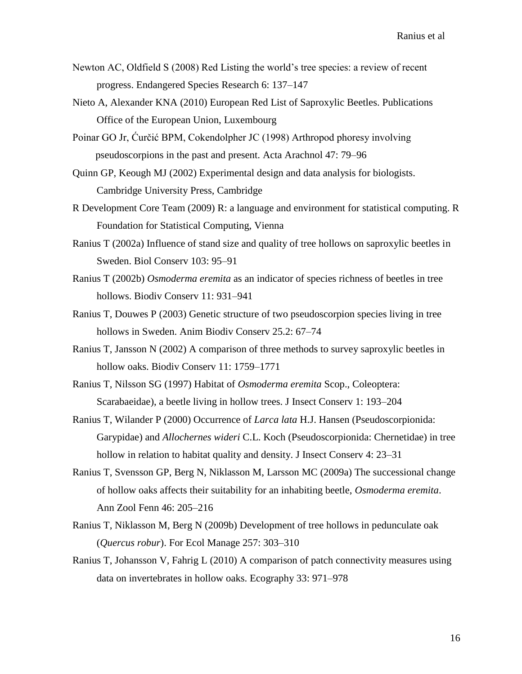- Newton AC, Oldfield S (2008) Red Listing the world's tree species: a review of recent progress. Endangered Species Research 6: 137–147
- Nieto A, Alexander KNA (2010) European Red List of Saproxylic Beetles. Publications Office of the European Union, Luxembourg
- Poinar GO Jr, Ćurčić BPM, Cokendolpher JC (1998) Arthropod phoresy involving pseudoscorpions in the past and present. Acta Arachnol 47: 79–96
- Quinn GP, Keough MJ (2002) Experimental design and data analysis for biologists. Cambridge University Press, Cambridge
- R Development Core Team (2009) R: a language and environment for statistical computing. R Foundation for Statistical Computing, Vienna
- Ranius T (2002a) Influence of stand size and quality of tree hollows on saproxylic beetles in Sweden. Biol Conserv 103: 95–91
- Ranius T (2002b) *Osmoderma eremita* as an indicator of species richness of beetles in tree hollows. Biodiv Conserv 11: 931–941
- Ranius T, Douwes P (2003) Genetic structure of two pseudoscorpion species living in tree hollows in Sweden. Anim Biodiv Conserv 25.2: 67–74
- Ranius T, Jansson N (2002) A comparison of three methods to survey saproxylic beetles in hollow oaks. Biodiv Conserv 11: 1759–1771
- Ranius T, Nilsson SG (1997) Habitat of *Osmoderma eremita* Scop., Coleoptera: Scarabaeidae), a beetle living in hollow trees. J Insect Conserv 1: 193–204
- Ranius T, Wilander P (2000) Occurrence of *Larca lata* H.J. Hansen (Pseudoscorpionida: Garypidae) and *Allochernes wideri* C.L. Koch (Pseudoscorpionida: Chernetidae) in tree hollow in relation to habitat quality and density. J Insect Conserv 4: 23–31
- Ranius T, Svensson GP, Berg N, Niklasson M, Larsson MC (2009a) The successional change of hollow oaks affects their suitability for an inhabiting beetle, *Osmoderma eremita*. Ann Zool Fenn 46: 205–216
- Ranius T, Niklasson M, Berg N (2009b) Development of tree hollows in pedunculate oak (*Quercus robur*). For Ecol Manage 257: 303–310
- Ranius T, Johansson V, Fahrig L (2010) A comparison of patch connectivity measures using data on invertebrates in hollow oaks. Ecography 33: 971–978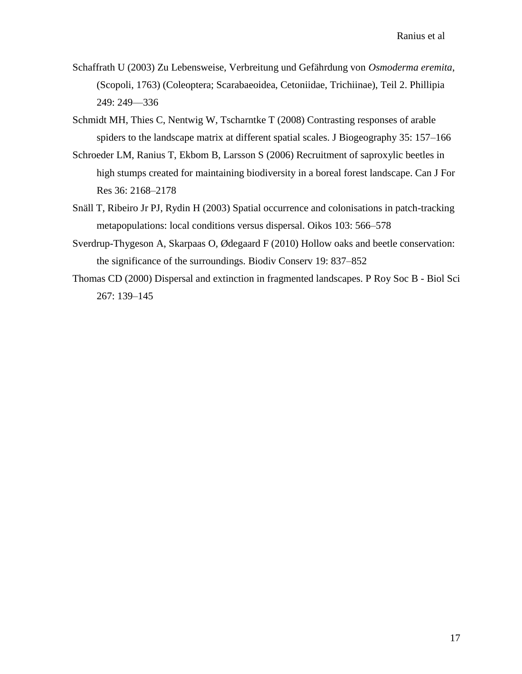- Schaffrath U (2003) Zu Lebensweise, Verbreitung und Gefährdung von *Osmoderma eremita*, (Scopoli, 1763) (Coleoptera; Scarabaeoidea, Cetoniidae, Trichiinae), Teil 2. Phillipia 249: 249––336
- Schmidt MH, Thies C, Nentwig W, Tscharntke T (2008) Contrasting responses of arable spiders to the landscape matrix at different spatial scales. J Biogeography 35: 157–166
- Schroeder LM, Ranius T, Ekbom B, Larsson S (2006) Recruitment of saproxylic beetles in high stumps created for maintaining biodiversity in a boreal forest landscape. Can J For Res 36: 2168–2178
- Snäll T, Ribeiro Jr PJ, Rydin H (2003) Spatial occurrence and colonisations in patch-tracking metapopulations: local conditions versus dispersal. Oikos 103: 566–578
- Sverdrup-Thygeson A, Skarpaas O, Ødegaard F (2010) Hollow oaks and beetle conservation: the significance of the surroundings. Biodiv Conserv 19: 837–852
- Thomas CD (2000) Dispersal and extinction in fragmented landscapes. P Roy Soc B Biol Sci 267: 139–145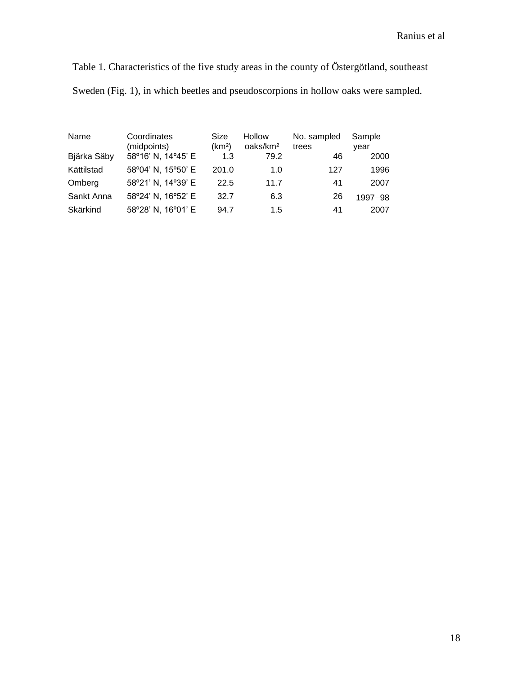Table 1. Characteristics of the five study areas in the county of Östergötland, southeast Sweden (Fig. 1), in which beetles and pseudoscorpions in hollow oaks were sampled.

| Name        | Coordinates<br>(midpoints) | Size<br>(km <sup>2</sup> ) | <b>Hollow</b><br>oaks/km <sup>2</sup> | No. sampled<br>trees | Sample<br>vear |
|-------------|----------------------------|----------------------------|---------------------------------------|----------------------|----------------|
| Bjärka Säby | 58°16' N, 14°45' E         | 1.3                        | 79.2                                  | 46                   | 2000           |
| Kättilstad  | 58°04' N, 15°50' E         | 201.0                      | 1.0                                   | 127                  | 1996           |
| Omberg      | 58°21' N, 14°39' E         | 22.5                       | 11.7                                  | 41                   | 2007           |
| Sankt Anna  | 58°24' N, 16°52' E         | 32.7                       | 6.3                                   | 26                   | 1997-98        |
| Skärkind    | 58°28' N, 16°01' E         | 94.7                       | 1.5                                   | 41                   | 2007           |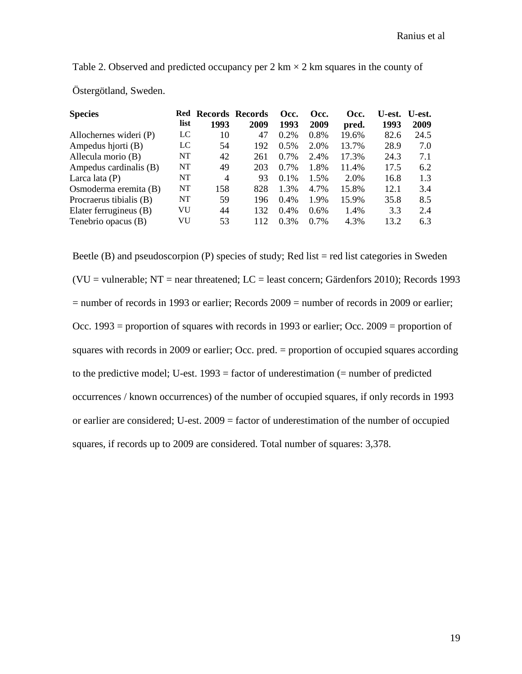Table 2. Observed and predicted occupancy per 2 km  $\times$  2 km squares in the county of Östergötland, Sweden.

| <b>Species</b>          | Red  | <b>Records Records</b> |      | Occ.    | Occ.    | Occ.  | U-est. | U-est. |
|-------------------------|------|------------------------|------|---------|---------|-------|--------|--------|
|                         | list | 1993                   | 2009 | 1993    | 2009    | pred. | 1993   | 2009   |
| Allochernes wideri (P)  | LC   | 10                     | 47   | 0.2%    | $0.8\%$ | 19.6% | 82.6   | 24.5   |
| Ampedus hjorti (B)      | LC   | 54                     | 192  | 0.5%    | 2.0%    | 13.7% | 28.9   | 7.0    |
| Allecula morio (B)      | NT   | 42                     | 261  | $0.7\%$ | 2.4%    | 17.3% | 24.3   | 7.1    |
| Ampedus cardinalis (B)  | NT   | 49                     | 203  | $0.7\%$ | 1.8%    | 11.4% | 17.5   | 6.2    |
| Larca lata $(P)$        | NT   | 4                      | 93   | $0.1\%$ | 1.5%    | 2.0%  | 16.8   | 1.3    |
| Osmoderma eremita (B)   | NT   | 158                    | 828  | 1.3%    | 4.7%    | 15.8% | 12.1   | 3.4    |
| Procraerus tibialis (B) | NT   | 59                     | 196  | $0.4\%$ | 1.9%    | 15.9% | 35.8   | 8.5    |
| Elater ferrugineus (B)  | VU   | 44                     | 132  | $0.4\%$ | $0.6\%$ | 1.4%  | 3.3    | 2.4    |
| Tenebrio opacus (B)     | VU   | 53                     | 112  | 0.3%    | $0.7\%$ | 4.3%  | 13.2   | 6.3    |

Beetle (B) and pseudoscorpion (P) species of study; Red list  $=$  red list categories in Sweden (VU = vulnerable; NT = near threatened; LC = least concern; Gärdenfors 2010); Records 1993 = number of records in 1993 or earlier; Records 2009 = number of records in 2009 or earlier; Occ. 1993 = proportion of squares with records in 1993 or earlier; Occ. 2009 = proportion of squares with records in 2009 or earlier; Occ. pred. = proportion of occupied squares according to the predictive model; U-est.  $1993 =$  factor of underestimation (= number of predicted occurrences / known occurrences) of the number of occupied squares, if only records in 1993 or earlier are considered; U-est. 2009 = factor of underestimation of the number of occupied squares, if records up to 2009 are considered. Total number of squares: 3,378.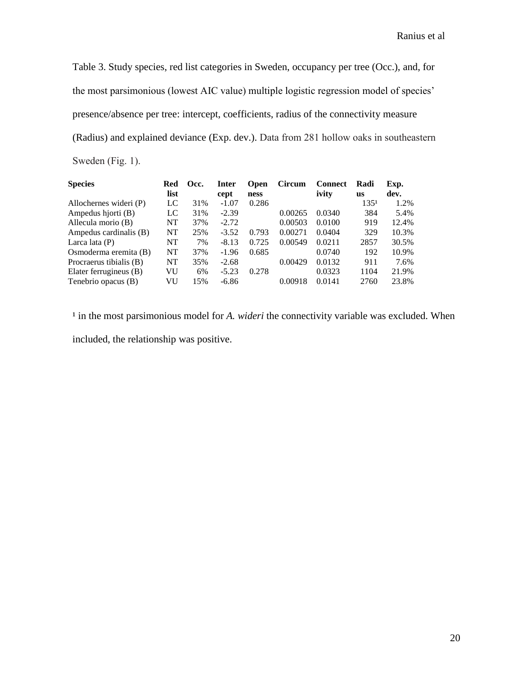Table 3. Study species, red list categories in Sweden, occupancy per tree (Occ.), and, for the most parsimonious (lowest AIC value) multiple logistic regression model of species' presence/absence per tree: intercept, coefficients, radius of the connectivity measure (Radius) and explained deviance (Exp. dev.). Data from 281 hollow oaks in southeastern Sweden (Fig. 1).

| <b>Species</b>          | Red       | Occ. | Inter   | <b>Open</b> | <b>Circum</b> | <b>Connect</b> | Radi             | Exp.  |
|-------------------------|-----------|------|---------|-------------|---------------|----------------|------------------|-------|
|                         | list      |      | cept    | ness        |               | ivity          | <b>us</b>        | dev.  |
| Allochernes wideri (P)  | LC        | 31%  | $-1.07$ | 0.286       |               |                | 135 <sup>1</sup> | 1.2%  |
| Ampedus hjorti (B)      | LC        | 31%  | $-2.39$ |             | 0.00265       | 0.0340         | 384              | 5.4%  |
| Allecula morio (B)      | <b>NT</b> | 37%  | $-2.72$ |             | 0.00503       | 0.0100         | 919              | 12.4% |
| Ampedus cardinalis (B)  | NT        | 25%  | $-3.52$ | 0.793       | 0.00271       | 0.0404         | 329              | 10.3% |
| Larca lata $(P)$        | <b>NT</b> | 7%   | $-8.13$ | 0.725       | 0.00549       | 0.0211         | 2857             | 30.5% |
| Osmoderma eremita (B)   | NT        | 37%  | $-1.96$ | 0.685       |               | 0.0740         | 192              | 10.9% |
| Procraerus tibialis (B) | NT        | 35%  | $-2.68$ |             | 0.00429       | 0.0132         | 911              | 7.6%  |
| Elater ferrugineus (B)  | VU        | 6%   | $-5.23$ | 0.278       |               | 0.0323         | 1104             | 21.9% |
| Tenebrio opacus (B)     | VU        | 15%  | $-6.86$ |             | 0.00918       | 0.0141         | 2760             | 23.8% |

<sup>1</sup> in the most parsimonious model for *A. wideri* the connectivity variable was excluded. When included, the relationship was positive.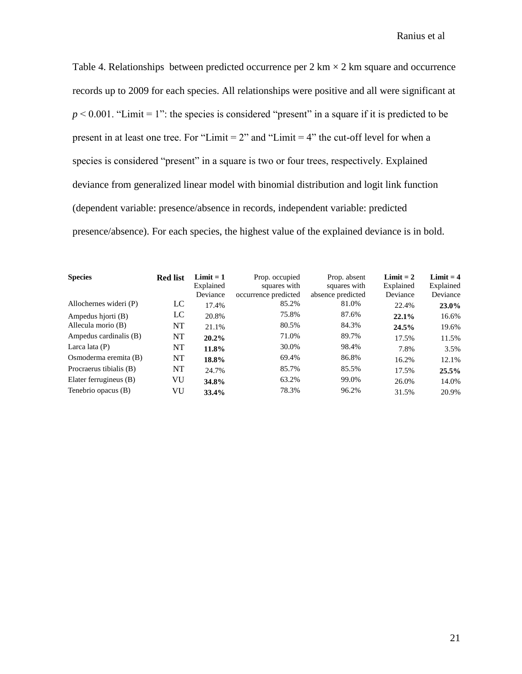Table 4. Relationships between predicted occurrence per  $2 \text{ km} \times 2 \text{ km}$  square and occurrence records up to 2009 for each species. All relationships were positive and all were significant at  $p < 0.001$ . "Limit = 1": the species is considered "present" in a square if it is predicted to be present in at least one tree. For "Limit  $= 2$ " and "Limit  $= 4$ " the cut-off level for when a species is considered "present" in a square is two or four trees, respectively. Explained deviance from generalized linear model with binomial distribution and logit link function (dependent variable: presence/absence in records, independent variable: predicted presence/absence). For each species, the highest value of the explained deviance is in bold.

| <b>Species</b>          | <b>Red list</b> | Limit $= 1$<br>Explained<br>Deviance | Prop. occupied<br>squares with<br>occurrence predicted | Prop. absent<br>squares with<br>absence predicted | Limit $= 2$<br>Explained<br>Deviance | $Limit = 4$<br>Explained<br>Deviance |
|-------------------------|-----------------|--------------------------------------|--------------------------------------------------------|---------------------------------------------------|--------------------------------------|--------------------------------------|
| Allochernes wideri (P)  | LC              | 17.4%                                | 85.2%                                                  | 81.0%                                             | 22.4%                                | 23.0%                                |
| Ampedus hjorti (B)      | LC              | 20.8%                                | 75.8%                                                  | 87.6%                                             | 22.1%                                | 16.6%                                |
| Allecula morio (B)      | NT              | 21.1%                                | 80.5%                                                  | 84.3%                                             | 24.5%                                | 19.6%                                |
| Ampedus cardinalis (B)  | NT              | $20.2\%$                             | 71.0%                                                  | 89.7%                                             | 17.5%                                | 11.5%                                |
| Larca lata $(P)$        | NT              | 11.8%                                | 30.0%                                                  | 98.4%                                             | 7.8%                                 | 3.5%                                 |
| Osmoderma eremita (B)   | NT              | 18.8%                                | 69.4%                                                  | 86.8%                                             | 16.2%                                | 12.1%                                |
| Procraerus tibialis (B) | NT              | 24.7%                                | 85.7%                                                  | 85.5%                                             | 17.5%                                | 25.5%                                |
| Elater ferrugineus (B)  | VU              | 34.8%                                | 63.2%                                                  | 99.0%                                             | 26.0%                                | 14.0%                                |
| Tenebrio opacus (B)     | VU              | 33.4%                                | 78.3%                                                  | 96.2%                                             | 31.5%                                | 20.9%                                |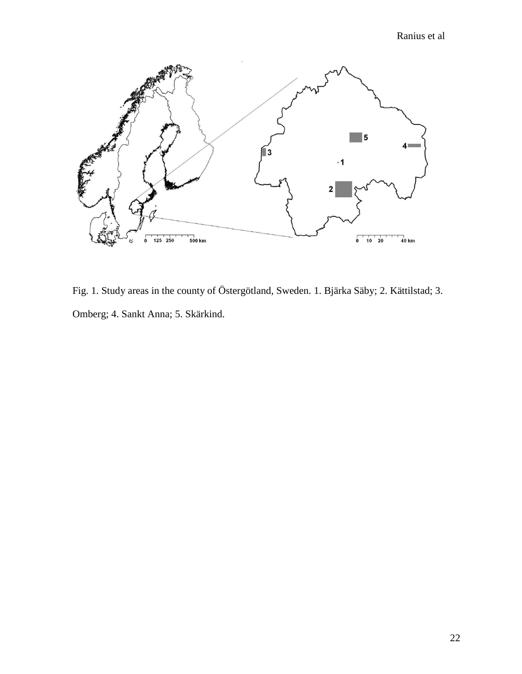

Fig. 1. Study areas in the county of Östergötland, Sweden. 1. Bjärka Säby; 2. Kättilstad; 3. Omberg; 4. Sankt Anna; 5. Skärkind.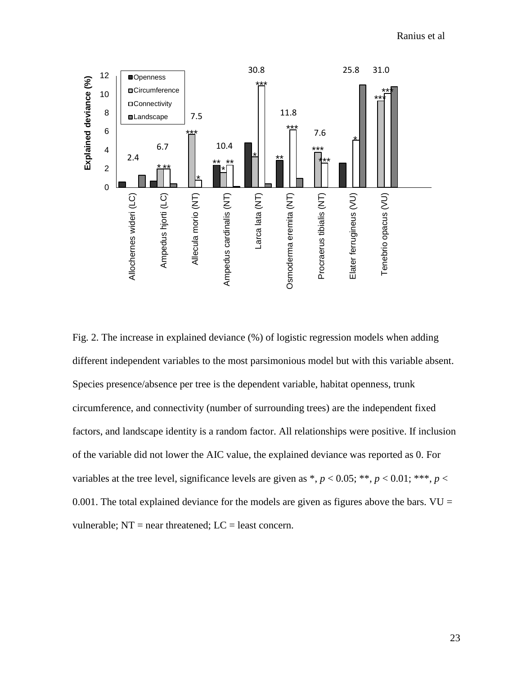

Fig. 2. The increase in explained deviance (%) of logistic regression models when adding different independent variables to the most parsimonious model but with this variable absent. Species presence/absence per tree is the dependent variable, habitat openness, trunk circumference, and connectivity (number of surrounding trees) are the independent fixed factors, and landscape identity is a random factor. All relationships were positive. If inclusion of the variable did not lower the AIC value, the explained deviance was reported as 0. For variables at the tree level, significance levels are given as \*,  $p < 0.05$ ; \*\*,  $p < 0.01$ ; \*\*\*,  $p <$ 0.001. The total explained deviance for the models are given as figures above the bars.  $VU =$ vulnerable;  $NT = near$  threatened;  $LC =$  least concern.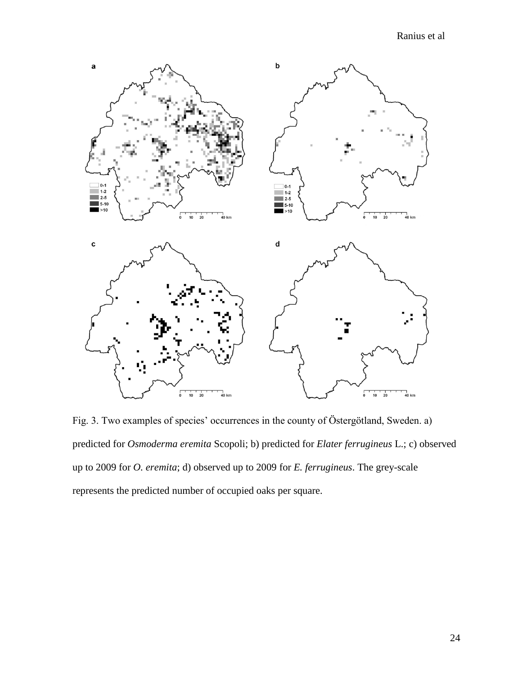

Fig. 3. Two examples of species' occurrences in the county of Östergötland, Sweden. a) predicted for *Osmoderma eremita* Scopoli; b) predicted for *Elater ferrugineus* L.; c) observed up to 2009 for *O. eremita*; d) observed up to 2009 for *E. ferrugineus*. The grey-scale represents the predicted number of occupied oaks per square.